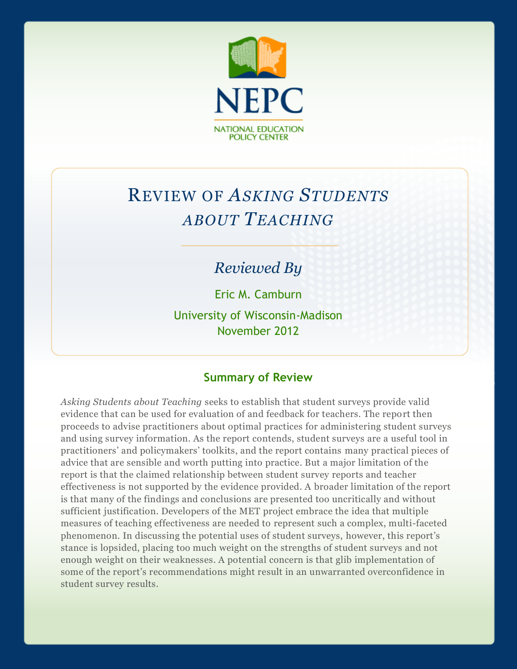

# REVIEW OF *ASKING STUDENTS ABOUT TEACHING*

# *Reviewed By*

Eric M. Camburn University of Wisconsin-Madison November 2012

# **Summary of Review**

*Asking Students about Teaching* seeks to establish that student surveys provide valid evidence that can be used for evaluation of and feedback for teachers. The report then proceeds to advise practitioners about optimal practices for administering student surveys and using survey information. As the report contends, student surveys are a useful tool in practitioners' and policymakers' toolkits, and the report contains many practical pieces of advice that are sensible and worth putting into practice. But a major limitation of the report is that the claimed relationship between student survey reports and teacher effectiveness is not supported by the evidence provided. A broader limitation of the report is that many of the findings and conclusions are presented too uncritically and without sufficient justification. Developers of the MET project embrace the idea that multiple measures of teaching effectiveness are needed to represent such a complex, multi-faceted phenomenon. In discussing the potential uses of student surveys, however, this report's stance is lopsided, placing too much weight on the strengths of student surveys and not enough weight on their weaknesses. A potential concern is that glib implementation of some of the report's recommendations might result in an unwarranted overconfidence in student survey results.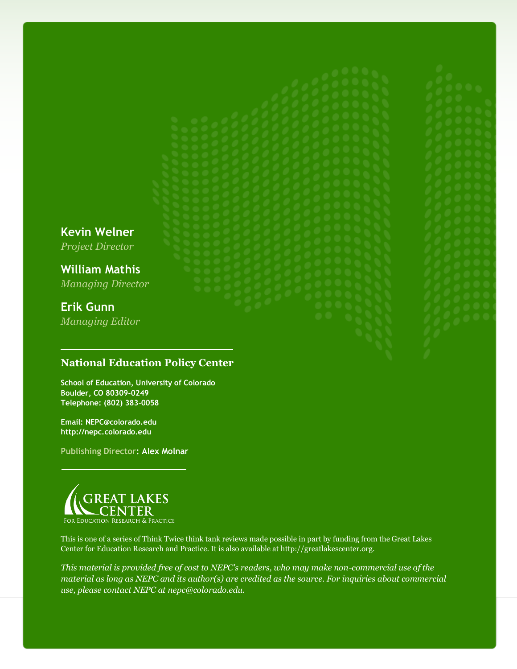**Kevin Welner** *Project Director*

**William Mathis** *Managing Director*

# **Erik Gunn** *Managing Editor*

# **National Education Policy Center**

**School of Education, University of Colorado Boulder, CO 80309-0249 Telephone: (802) 383-0058**

**Email: NEPC@colorado.edu http://nepc.colorado.edu**

**Publishing Director: Alex Molnar**



This is one of a series of Think Twice think tank reviews made possible in part by funding from the Great Lakes Center for Education Research and Practice. It is also available at http://greatlakescenter.org.

*This material is provided free of cost to NEPC's readers, who may make non-commercial use of the material as long as NEPC and its author(s) are credited as the source. For inquiries about commercial use, please contact NEPC at nepc@colorado.edu.*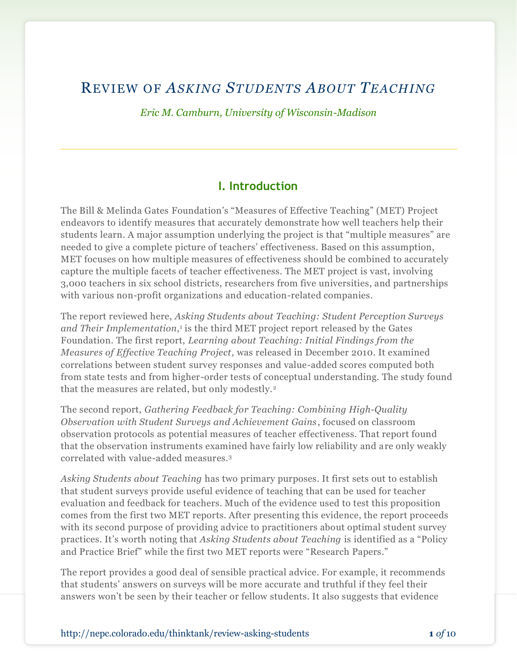# REVIEW OF *ASKING STUDENTS ABOUT TEACHING*

*Eric M. Camburn, University of Wisconsin-Madison*

## **I. Introduction**

The Bill & Melinda Gates Foundation's "Measures of Effective Teaching" (MET) Project endeavors to identify measures that accurately demonstrate how well teachers help their students learn. A major assumption underlying the project is that "multiple measures" are needed to give a complete picture of teachers' effectiveness. Based on this assumption, MET focuses on how multiple measures of effectiveness should be combined to accurately capture the multiple facets of teacher effectiveness. The MET project is vast, involving 3,000 teachers in six school districts, researchers from five universities, and partnerships with various non-profit organizations and education-related companies.

The report reviewed here, *Asking Students about Teaching: Student Perception Surveys*  and Their Implementation,<sup>1</sup> is the third MET project report released by the Gates Foundation. The first report, *Learning about Teaching: Initial Findings from the Measures of Effective Teaching Project*, was released in December 2010. It examined correlations between student survey responses and value-added scores computed both from state tests and from higher-order tests of conceptual understanding. The study found that the measures are related, but only modestly.<sup>2</sup>

The second report, *Gathering Feedback for Teaching: Combining High-Quality Observation with Student Surveys and Achievement Gains* , focused on classroom observation protocols as potential measures of teacher effectiveness. That report found that the observation instruments examined have fairly low reliability and are only weakly correlated with value-added measures.<sup>3</sup>

*Asking Students about Teaching* has two primary purposes. It first sets out to establish that student surveys provide useful evidence of teaching that can be used for teacher evaluation and feedback for teachers. Much of the evidence used to test this proposition comes from the first two MET reports. After presenting this evidence, the report proceeds with its second purpose of providing advice to practitioners about optimal student survey practices. It's worth noting that *Asking Students about Teaching* is identified as a "Policy and Practice Brief" while the first two MET reports were "Research Papers."

The report provides a good deal of sensible practical advice. For example, it recommends that students' answers on surveys will be more accurate and truthful if they feel their answers won't be seen by their teacher or fellow students. It also suggests that evidence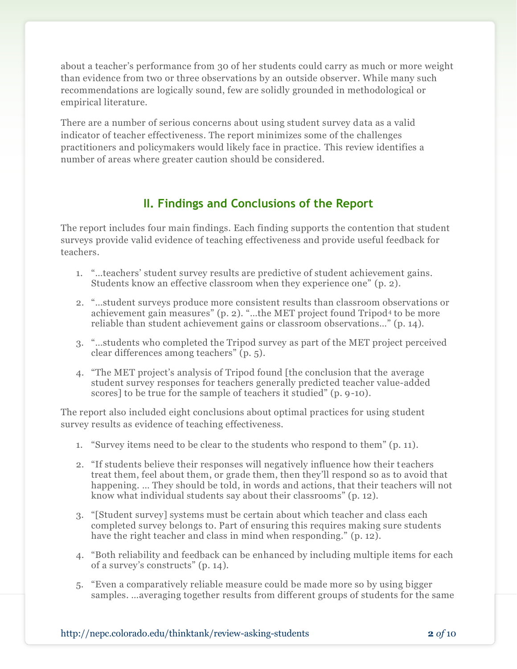about a teacher's performance from 30 of her students could carry as much or more weight than evidence from two or three observations by an outside observer. While many such recommendations are logically sound, few are solidly grounded in methodological or empirical literature.

There are a number of serious concerns about using student survey data as a valid indicator of teacher effectiveness. The report minimizes some of the challenges practitioners and policymakers would likely face in practice. This review identifies a number of areas where greater caution should be considered.

# **II. Findings and Conclusions of the Report**

The report includes four main findings. Each finding supports the contention that student surveys provide valid evidence of teaching effectiveness and provide useful feedback for teachers.

- 1. "…teachers' student survey results are predictive of student achievement gains. Students know an effective classroom when they experience one" (p. 2).
- 2. "…student surveys produce more consistent results than classroom observations or achievement gain measures" (p. 2). "…the MET project found Tripod<sup>4</sup> to be more reliable than student achievement gains or classroom observations…" (p. 14).
- 3. "…students who completed the Tripod survey as part of the MET project perceived clear differences among teachers" (p. 5).
- 4. "The MET project's analysis of Tripod found [the conclusion that the average student survey responses for teachers generally predicted teacher value-added scores] to be true for the sample of teachers it studied" (p. 9-10).

The report also included eight conclusions about optimal practices for using student survey results as evidence of teaching effectiveness.

- 1. "Survey items need to be clear to the students who respond to them" (p. 11).
- 2. "If students believe their responses will negatively influence how their t eachers treat them, feel about them, or grade them, then they'll respond so as to avoid that happening. … They should be told, in words and actions, that their teachers will not know what individual students say about their classrooms" (p. 12).
- 3. "[Student survey] systems must be certain about which teacher and class each completed survey belongs to. Part of ensuring this requires making sure students have the right teacher and class in mind when responding." (p. 12).
- 4. "Both reliability and feedback can be enhanced by including multiple items for each of a survey's constructs" (p. 14).
- 5. "Even a comparatively reliable measure could be made more so by using bigger samples. …averaging together results from different groups of students for the same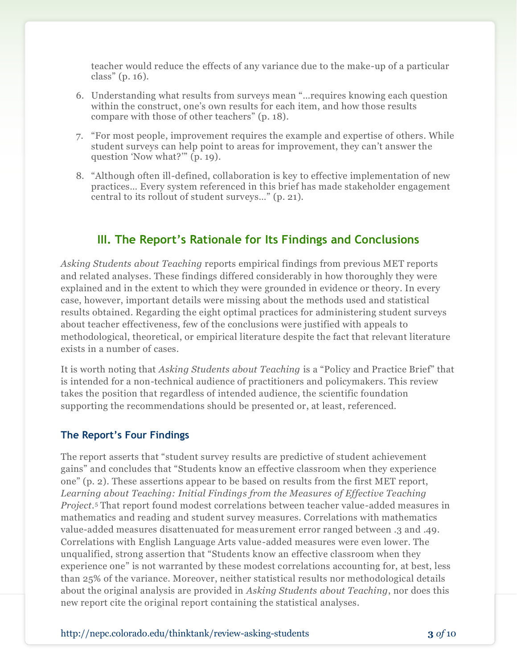teacher would reduce the effects of any variance due to the make-up of a particular class" (p. 16).

- 6. Understanding what results from surveys mean "…requires knowing each question within the construct, one's own results for each item, and how those results compare with those of other teachers" (p. 18).
- 7. "For most people, improvement requires the example and expertise of others. While student surveys can help point to areas for improvement, they can't answer the question 'Now what?'" (p. 19).
- 8. "Although often ill-defined, collaboration is key to effective implementation of new practices… Every system referenced in this brief has made stakeholder engagement central to its rollout of student surveys…" (p. 21).

# **III. The Report's Rationale for Its Findings and Conclusions**

*Asking Students about Teaching* reports empirical findings from previous MET reports and related analyses. These findings differed considerably in how thoroughly they were explained and in the extent to which they were grounded in evidence or theory. In every case, however, important details were missing about the methods used and statistical results obtained. Regarding the eight optimal practices for administering student surveys about teacher effectiveness, few of the conclusions were justified with appeals to methodological, theoretical, or empirical literature despite the fact that relevant literature exists in a number of cases.

It is worth noting that *Asking Students about Teaching* is a "Policy and Practice Brief" that is intended for a non-technical audience of practitioners and policymakers. This review takes the position that regardless of intended audience, the scientific foundation supporting the recommendations should be presented or, at least, referenced.

### **The Report's Four Findings**

The report asserts that "student survey results are predictive of student achievement gains" and concludes that "Students know an effective classroom when they experience one" (p. 2). These assertions appear to be based on results from the first MET report, *Learning about Teaching: Initial Findings from the Measures of Effective Teaching Project.*<sup>5</sup> That report found modest correlations between teacher value-added measures in mathematics and reading and student survey measures. Correlations with mathematics value-added measures disattenuated for measurement error ranged between .3 and .49. Correlations with English Language Arts value-added measures were even lower. The unqualified, strong assertion that "Students know an effective classroom when they experience one" is not warranted by these modest correlations accounting for, at best, less than 25% of the variance. Moreover, neither statistical results nor methodological details about the original analysis are provided in *Asking Students about Teaching*, nor does this new report cite the original report containing the statistical analyses.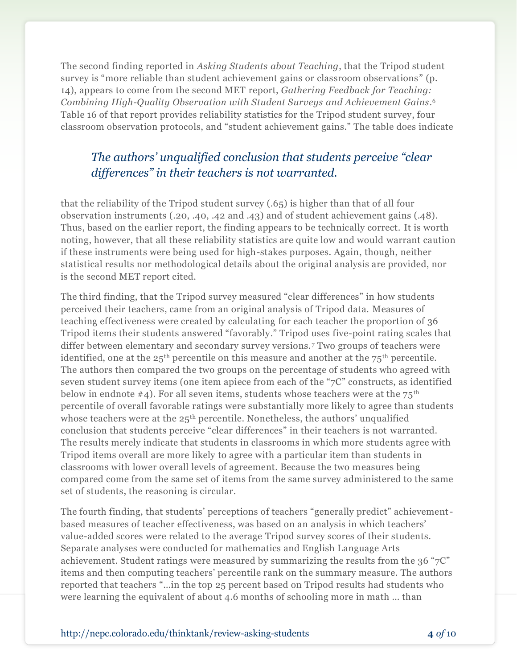The second finding reported in *Asking Students about Teaching*, that the Tripod student survey is "more reliable than student achievement gains or classroom observations" (p. 14), appears to come from the second MET report, *Gathering Feedback for Teaching: Combining High-Quality Observation with Student Surveys and Achievement Gains*. 6 Table 16 of that report provides reliability statistics for the Tripod student survey, four classroom observation protocols, and "student achievement gains." The table does indicate

# *The authors' unqualified conclusion that students perceive "clear differences" in their teachers is not warranted.*

that the reliability of the Tripod student survey (.65) is higher than that of all four observation instruments (.20, .40, .42 and .43) and of student achievement gains (.48). Thus, based on the earlier report, the finding appears to be technically correct. It is worth noting, however, that all these reliability statistics are quite low and would warrant caution if these instruments were being used for high-stakes purposes. Again, though, neither statistical results nor methodological details about the original analysis are provided, nor is the second MET report cited.

The third finding, that the Tripod survey measured "clear differences" in how students perceived their teachers, came from an original analysis of Tripod data. Measures of teaching effectiveness were created by calculating for each teacher the proportion of 36 Tripod items their students answered "favorably." Tripod uses five-point rating scales that differ between elementary and secondary survey versions. <sup>7</sup> Two groups of teachers were identified, one at the  $25<sup>th</sup>$  percentile on this measure and another at the  $75<sup>th</sup>$  percentile. The authors then compared the two groups on the percentage of students who agreed with seven student survey items (one item apiece from each of the "7C" constructs, as identified below in endnote #4). For all seven items, students whose teachers were at the  $75<sup>th</sup>$ percentile of overall favorable ratings were substantially more likely to agree than students whose teachers were at the 25<sup>th</sup> percentile. Nonetheless, the authors' unqualified conclusion that students perceive "clear differences" in their teachers is not warranted. The results merely indicate that students in classrooms in which more students agree with Tripod items overall are more likely to agree with a particular item than students in classrooms with lower overall levels of agreement. Because the two measures being compared come from the same set of items from the same survey administered to the same set of students, the reasoning is circular.

The fourth finding, that students' perceptions of teachers "generally predict" achievementbased measures of teacher effectiveness, was based on an analysis in which teachers' value-added scores were related to the average Tripod survey scores of their students. Separate analyses were conducted for mathematics and English Language Arts achievement. Student ratings were measured by summarizing the results from the 36 "7C" items and then computing teachers' percentile rank on the summary measure. The authors reported that teachers "…in the top 25 percent based on Tripod results had students who were learning the equivalent of about 4.6 months of schooling more in math … than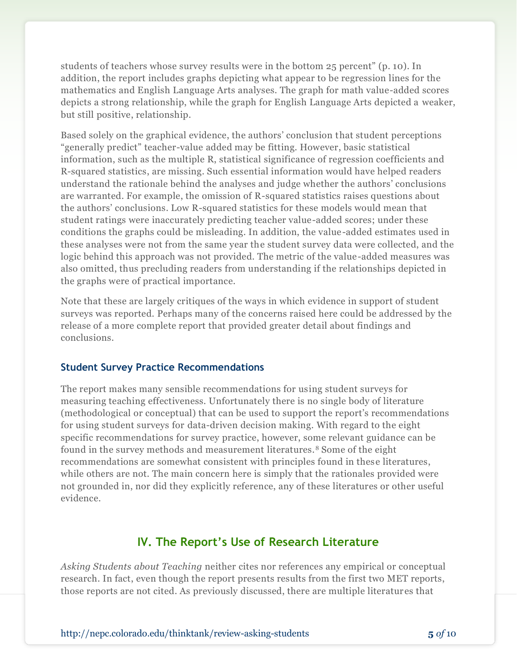students of teachers whose survey results were in the bottom 25 percent" (p. 10). In addition, the report includes graphs depicting what appear to be regression lines for the mathematics and English Language Arts analyses. The graph for math value-added scores depicts a strong relationship, while the graph for English Language Arts depicted a weaker, but still positive, relationship.

Based solely on the graphical evidence, the authors' conclusion that student perceptions "generally predict" teacher-value added may be fitting. However, basic statistical information, such as the multiple R, statistical significance of regression coefficients and R-squared statistics, are missing. Such essential information would have helped readers understand the rationale behind the analyses and judge whether the authors' conclusions are warranted. For example, the omission of R-squared statistics raises questions about the authors' conclusions. Low R-squared statistics for these models would mean that student ratings were inaccurately predicting teacher value-added scores; under these conditions the graphs could be misleading. In addition, the value-added estimates used in these analyses were not from the same year the student survey data were collected, and the logic behind this approach was not provided. The metric of the value-added measures was also omitted, thus precluding readers from understanding if the relationships depicted in the graphs were of practical importance.

Note that these are largely critiques of the ways in which evidence in support of student surveys was reported. Perhaps many of the concerns raised here could be addressed by the release of a more complete report that provided greater detail about findings and conclusions.

### **Student Survey Practice Recommendations**

The report makes many sensible recommendations for using student surveys for measuring teaching effectiveness. Unfortunately there is no single body of literature (methodological or conceptual) that can be used to support the report's recommendations for using student surveys for data-driven decision making. With regard to the eight specific recommendations for survey practice, however, some relevant guidance can be found in the survey methods and measurement literatures. <sup>8</sup> Some of the eight recommendations are somewhat consistent with principles found in these literatures, while others are not. The main concern here is simply that the rationales provided were not grounded in, nor did they explicitly reference, any of these literatures or other useful evidence.

# **IV. The Report's Use of Research Literature**

*Asking Students about Teaching* neither cites nor references any empirical or conceptual research. In fact, even though the report presents results from the first two MET reports, those reports are not cited. As previously discussed, there are multiple literatures that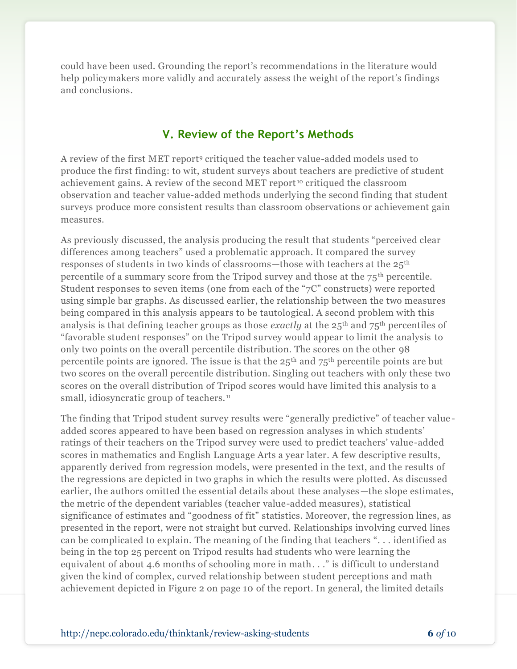could have been used. Grounding the report's recommendations in the literature would help policymakers more validly and accurately assess the weight of the report's findings and conclusions.

## **V. Review of the Report's Methods**

A review of the first MET report<sup>9</sup> critiqued the teacher value-added models used to produce the first finding: to wit, student surveys about teachers are predictive of student achievement gains. A review of the second MET report <sup>10</sup> critiqued the classroom observation and teacher value-added methods underlying the second finding that student surveys produce more consistent results than classroom observations or achievement gain measures.

As previously discussed, the analysis producing the result that students "perceived clear differences among teachers" used a problematic approach. It compared the survey responses of students in two kinds of classrooms—those with teachers at the 25<sup>th</sup> percentile of a summary score from the Tripod survey and those at the 75th percentile. Student responses to seven items (one from each of the "7C" constructs) were reported using simple bar graphs. As discussed earlier, the relationship between the two measures being compared in this analysis appears to be tautological. A second problem with this analysis is that defining teacher groups as those *exactly* at the 25<sup>th</sup> and 75<sup>th</sup> percentiles of "favorable student responses" on the Tripod survey would appear to limit the analysis to only two points on the overall percentile distribution. The scores on the other 98 percentile points are ignored. The issue is that the  $25<sup>th</sup>$  and  $75<sup>th</sup>$  percentile points are but two scores on the overall percentile distribution. Singling out teachers with only these two scores on the overall distribution of Tripod scores would have limited this analysis to a small, idiosyncratic group of teachers.<sup>11</sup>

The finding that Tripod student survey results were "generally predictive" of teacher value added scores appeared to have been based on regression analyses in which students' ratings of their teachers on the Tripod survey were used to predict teachers' value-added scores in mathematics and English Language Arts a year later. A few descriptive results, apparently derived from regression models, were presented in the text, and the results of the regressions are depicted in two graphs in which the results were plotted. As discussed earlier, the authors omitted the essential details about these analyses—the slope estimates, the metric of the dependent variables (teacher value-added measures), statistical significance of estimates and "goodness of fit" statistics. Moreover, the regression lines, as presented in the report, were not straight but curved. Relationships involving curved lines can be complicated to explain. The meaning of the finding that teachers ". . . identified as being in the top 25 percent on Tripod results had students who were learning the equivalent of about 4.6 months of schooling more in math. . ." is difficult to understand given the kind of complex, curved relationship between student perceptions and math achievement depicted in Figure 2 on page 10 of the report. In general, the limited details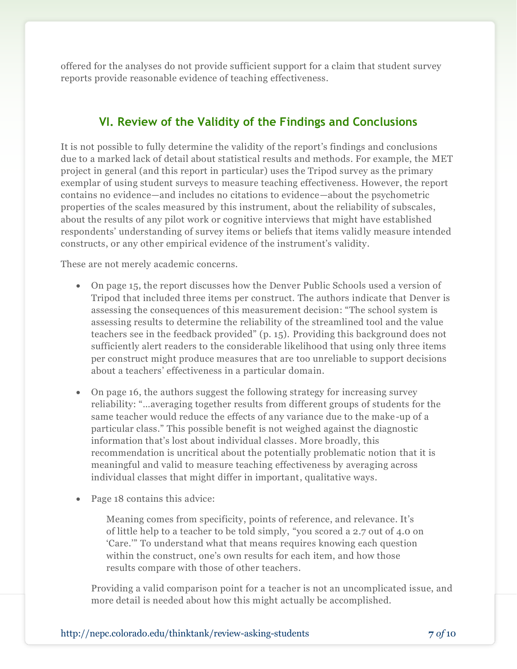offered for the analyses do not provide sufficient support for a claim that student survey reports provide reasonable evidence of teaching effectiveness.

# **VI. Review of the Validity of the Findings and Conclusions**

It is not possible to fully determine the validity of the report's findings and conclusions due to a marked lack of detail about statistical results and methods. For example, the MET project in general (and this report in particular) uses the Tripod survey as the primary exemplar of using student surveys to measure teaching effectiveness. However, the report contains no evidence—and includes no citations to evidence—about the psychometric properties of the scales measured by this instrument, about the reliability of subscales, about the results of any pilot work or cognitive interviews that might have established respondents' understanding of survey items or beliefs that items validly measure intended constructs, or any other empirical evidence of the instrument's validity.

These are not merely academic concerns.

- On page 15, the report discusses how the Denver Public Schools used a version of Tripod that included three items per construct. The authors indicate that Denver is assessing the consequences of this measurement decision: "The school system is assessing results to determine the reliability of the streamlined tool and the value teachers see in the feedback provided" (p. 15). Providing this background does not sufficiently alert readers to the considerable likelihood that using only three items per construct might produce measures that are too unreliable to support decisions about a teachers' effectiveness in a particular domain.
- On page 16, the authors suggest the following strategy for increasing survey reliability: "…averaging together results from different groups of students for the same teacher would reduce the effects of any variance due to the make-up of a particular class." This possible benefit is not weighed against the diagnostic information that's lost about individual classes. More broadly, this recommendation is uncritical about the potentially problematic notion that it is meaningful and valid to measure teaching effectiveness by averaging across individual classes that might differ in important, qualitative ways.
- Page 18 contains this advice:

Meaning comes from specificity, points of reference, and relevance. It's of little help to a teacher to be told simply, "you scored a 2.7 out of 4.0 on 'Care.'" To understand what that means requires knowing each question within the construct, one's own results for each item, and how those results compare with those of other teachers.

Providing a valid comparison point for a teacher is not an uncomplicated issue, and more detail is needed about how this might actually be accomplished.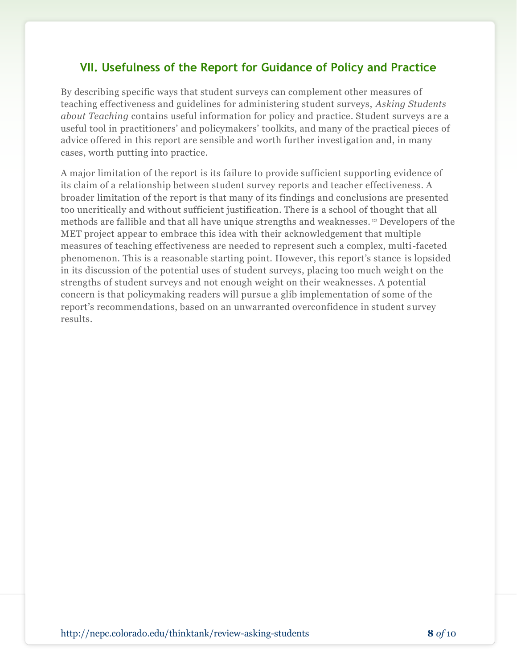# **VII. Usefulness of the Report for Guidance of Policy and Practice**

By describing specific ways that student surveys can complement other measures of teaching effectiveness and guidelines for administering student surveys, *Asking Students about Teaching* contains useful information for policy and practice. Student surveys are a useful tool in practitioners' and policymakers' toolkits, and many of the practical pieces of advice offered in this report are sensible and worth further investigation and, in many cases, worth putting into practice.

A major limitation of the report is its failure to provide sufficient supporting evidence of its claim of a relationship between student survey reports and teacher effectiveness. A broader limitation of the report is that many of its findings and conclusions are presented too uncritically and without sufficient justification. There is a school of thought that all methods are fallible and that all have unique strengths and weaknesses. <sup>12</sup> Developers of the MET project appear to embrace this idea with their acknowledgement that multiple measures of teaching effectiveness are needed to represent such a complex, multi-faceted phenomenon. This is a reasonable starting point. However, this report's stance is lopsided in its discussion of the potential uses of student surveys, placing too much weight on the strengths of student surveys and not enough weight on their weaknesses. A potential concern is that policymaking readers will pursue a glib implementation of some of the report's recommendations, based on an unwarranted overconfidence in student survey results.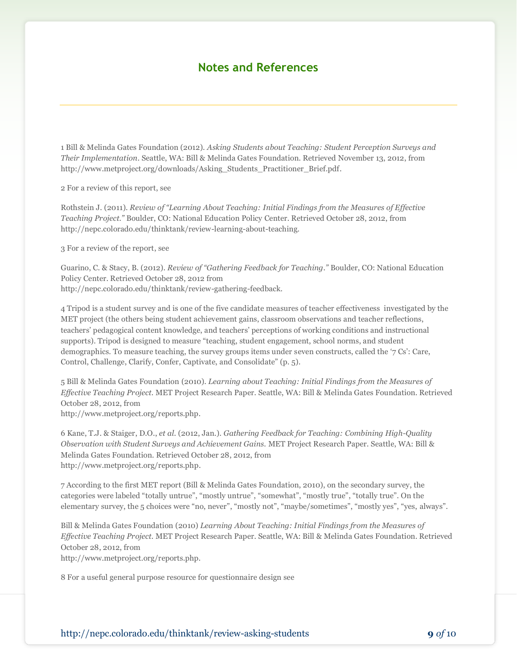## **Notes and References**

1 Bill & Melinda Gates Foundation (2012). *Asking Students about Teaching: Student Perception Surveys and Their Implementation.* Seattle, WA: Bill & Melinda Gates Foundation. Retrieved November 13, 2012, from http://www.metproject.org/downloads/Asking\_Students\_Practitioner\_Brief.pdf.

2 For a review of this report, see

Rothstein J. (2011). *Review of "Learning About Teaching: Initial Findings from the Measures of Effective Teaching Project."* Boulder, CO: National Education Policy Center. Retrieved October 28, 2012, from http://nepc.colorado.edu/thinktank/review-learning-about-teaching.

3 For a review of the report, see

Guarino, C. & Stacy, B. (2012). *Review of "Gathering Feedback for Teaching."* Boulder, CO: National Education Policy Center. Retrieved October 28, 2012 from http://nepc.colorado.edu/thinktank/review-gathering-feedback.

4 Tripod is a student survey and is one of the five candidate measures of teacher effectiveness investigated by the MET project (the others being student achievement gains, classroom observations and teacher reflections, teachers' pedagogical content knowledge, and teachers' perceptions of working conditions and instructional supports). Tripod is designed to measure "teaching, student engagement, school norms, and student demographics. To measure teaching, the survey groups items under seven constructs, called the '7 Cs': Care, Control, Challenge, Clarify, Confer, Captivate, and Consolidate" (p. 5).

5 Bill & Melinda Gates Foundation (2010). *Learning about Teaching: Initial Findings from the Measures of Effective Teaching Project.* MET Project Research Paper. Seattle, WA: Bill & Melinda Gates Foundation. Retrieved October 28, 2012, from

http://www.metproject.org/reports.php.

6 Kane, T.J. & Staiger, D.O., *et al.* (2012, Jan.). *Gathering Feedback for Teaching: Combining High-Quality Observation with Student Surveys and Achievement Gains.* MET Project Research Paper. Seattle, WA: Bill & Melinda Gates Foundation. Retrieved October 28, 2012, from http://www.metproject.org/reports.php.

7 According to the first MET report (Bill & Melinda Gates Foundation, 2010), on the secondary survey, the categories were labeled "totally untrue", "mostly untrue", "somewhat", "mostly true", "totally true". On the elementary survey, the 5 choices were "no, never", "mostly not", "maybe/sometimes", "mostly yes", "yes, always".

Bill & Melinda Gates Foundation (2010) *Learning About Teaching: Initial Findings from the Measures of Effective Teaching Project.* MET Project Research Paper. Seattle, WA: Bill & Melinda Gates Foundation. Retrieved October 28, 2012, from

http://www.metproject.org/reports.php.

8 For a useful general purpose resource for questionnaire design see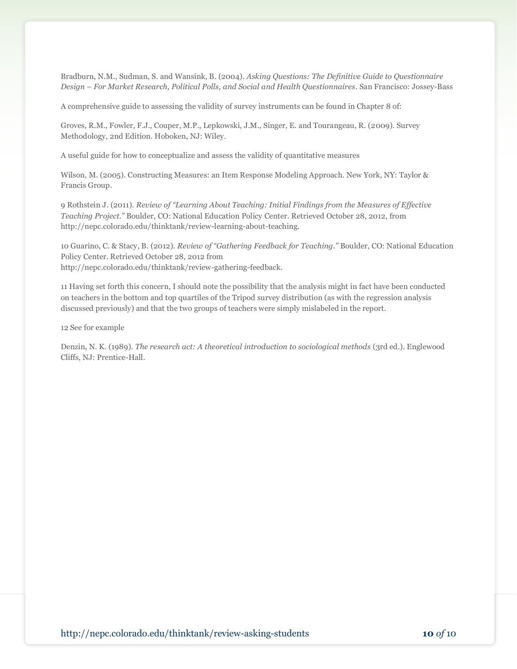Bradburn, N.M., Sudman, S. and Wansink, B. (2004). *Asking Questions: The Definitive Guide to Questionnaire Design – For Market Research, Political Polls, and Social and Health Questionnaires*. San Francisco: Jossey-Bass

A comprehensive guide to assessing the validity of survey instruments can be found in Chapter 8 of:

Groves, R.M., Fowler, F.J., Couper, M.P., Lepkowski, J.M., Singer, E. and Tourangeau, R. (2009). Survey Methodology, 2nd Edition. Hoboken, NJ: Wiley.

A useful guide for how to conceptualize and assess the validity of quantitative measures

Wilson, M. (2005). Constructing Measures: an Item Response Modeling Approach. New York, NY: Taylor & Francis Group.

9 Rothstein J. (2011). *Review of "Learning About Teaching: Initial Findings from the Measures of Effective Teaching Project."* Boulder, CO: National Education Policy Center. Retrieved October 28, 2012, from http://nepc.colorado.edu/thinktank/review-learning-about-teaching.

10 Guarino, C. & Stacy, B. (2012). *Review of "Gathering Feedback for Teaching."* Boulder, CO: National Education Policy Center. Retrieved October 28, 2012 from http://nepc.colorado.edu/thinktank/review-gathering-feedback.

11 Having set forth this concern, I should note the possibility that the analysis might in fact have been conducted on teachers in the bottom and top quartiles of the Tripod survey distribution (as with the regression analysis discussed previously) and that the two groups of teachers were simply mislabeled in the report.

12 See for example

Denzin, N. K. (1989). *The research act: A theoretical introduction to sociological methods* (3rd ed.). Englewood Cliffs, NJ: Prentice-Hall.